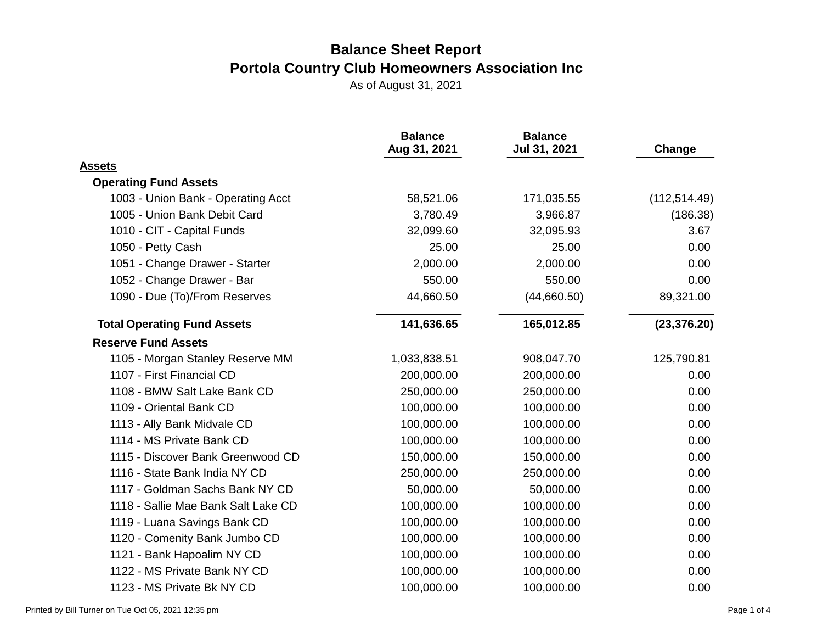|                                     | <b>Balance</b><br>Aug 31, 2021 | <b>Balance</b><br>Jul 31, 2021 | Change        |
|-------------------------------------|--------------------------------|--------------------------------|---------------|
| <b>Assets</b>                       |                                |                                |               |
| <b>Operating Fund Assets</b>        |                                |                                |               |
| 1003 - Union Bank - Operating Acct  | 58,521.06                      | 171,035.55                     | (112, 514.49) |
| 1005 - Union Bank Debit Card        | 3,780.49                       | 3,966.87                       | (186.38)      |
| 1010 - CIT - Capital Funds          | 32,099.60                      | 32,095.93                      | 3.67          |
| 1050 - Petty Cash                   | 25.00                          | 25.00                          | 0.00          |
| 1051 - Change Drawer - Starter      | 2,000.00                       | 2,000.00                       | 0.00          |
| 1052 - Change Drawer - Bar          | 550.00                         | 550.00                         | 0.00          |
| 1090 - Due (To)/From Reserves       | 44,660.50                      | (44,660.50)                    | 89,321.00     |
| <b>Total Operating Fund Assets</b>  | 141,636.65                     | 165,012.85                     | (23, 376.20)  |
| <b>Reserve Fund Assets</b>          |                                |                                |               |
| 1105 - Morgan Stanley Reserve MM    | 1,033,838.51                   | 908,047.70                     | 125,790.81    |
| 1107 - First Financial CD           | 200,000.00                     | 200,000.00                     | 0.00          |
| 1108 - BMW Salt Lake Bank CD        | 250,000.00                     | 250,000.00                     | 0.00          |
| 1109 - Oriental Bank CD             | 100,000.00                     | 100,000.00                     | 0.00          |
| 1113 - Ally Bank Midvale CD         | 100,000.00                     | 100,000.00                     | 0.00          |
| 1114 - MS Private Bank CD           | 100,000.00                     | 100,000.00                     | 0.00          |
| 1115 - Discover Bank Greenwood CD   | 150,000.00                     | 150,000.00                     | 0.00          |
| 1116 - State Bank India NY CD       | 250,000.00                     | 250,000.00                     | 0.00          |
| 1117 - Goldman Sachs Bank NY CD     | 50,000.00                      | 50,000.00                      | 0.00          |
| 1118 - Sallie Mae Bank Salt Lake CD | 100,000.00                     | 100,000.00                     | 0.00          |
| 1119 - Luana Savings Bank CD        | 100,000.00                     | 100,000.00                     | 0.00          |
| 1120 - Comenity Bank Jumbo CD       | 100,000.00                     | 100,000.00                     | 0.00          |
| 1121 - Bank Hapoalim NY CD          | 100,000.00                     | 100,000.00                     | 0.00          |
| 1122 - MS Private Bank NY CD        | 100,000.00                     | 100,000.00                     | 0.00          |
| 1123 - MS Private Bk NY CD          | 100,000.00                     | 100,000.00                     | 0.00          |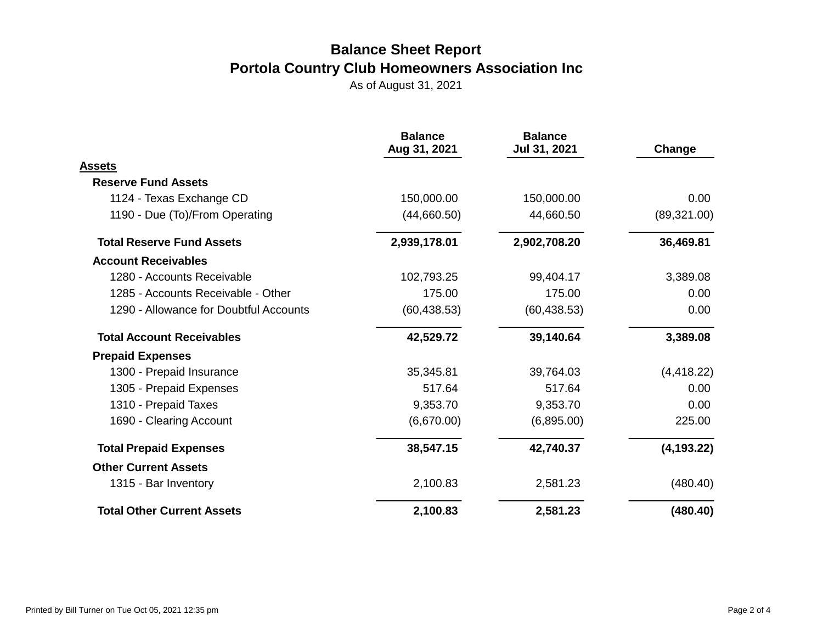|                                        | <b>Balance</b><br>Aug 31, 2021 | <b>Balance</b><br>Jul 31, 2021 | Change       |
|----------------------------------------|--------------------------------|--------------------------------|--------------|
| Assets                                 |                                |                                |              |
| <b>Reserve Fund Assets</b>             |                                |                                |              |
| 1124 - Texas Exchange CD               | 150,000.00                     | 150,000.00                     | 0.00         |
| 1190 - Due (To)/From Operating         | (44,660.50)                    | 44,660.50                      | (89, 321.00) |
| <b>Total Reserve Fund Assets</b>       | 2,939,178.01                   | 2,902,708.20                   | 36,469.81    |
| <b>Account Receivables</b>             |                                |                                |              |
| 1280 - Accounts Receivable             | 102,793.25                     | 99,404.17                      | 3,389.08     |
| 1285 - Accounts Receivable - Other     | 175.00                         | 175.00                         | 0.00         |
| 1290 - Allowance for Doubtful Accounts | (60, 438.53)                   | (60, 438.53)                   | 0.00         |
| <b>Total Account Receivables</b>       | 42,529.72                      | 39,140.64                      | 3,389.08     |
| <b>Prepaid Expenses</b>                |                                |                                |              |
| 1300 - Prepaid Insurance               | 35,345.81                      | 39,764.03                      | (4, 418.22)  |
| 1305 - Prepaid Expenses                | 517.64                         | 517.64                         | 0.00         |
| 1310 - Prepaid Taxes                   | 9,353.70                       | 9,353.70                       | 0.00         |
| 1690 - Clearing Account                | (6,670.00)                     | (6,895.00)                     | 225.00       |
| <b>Total Prepaid Expenses</b>          | 38,547.15                      | 42,740.37                      | (4, 193.22)  |
| <b>Other Current Assets</b>            |                                |                                |              |
| 1315 - Bar Inventory                   | 2,100.83                       | 2,581.23                       | (480.40)     |
| <b>Total Other Current Assets</b>      | 2,100.83                       | 2,581.23                       | (480.40)     |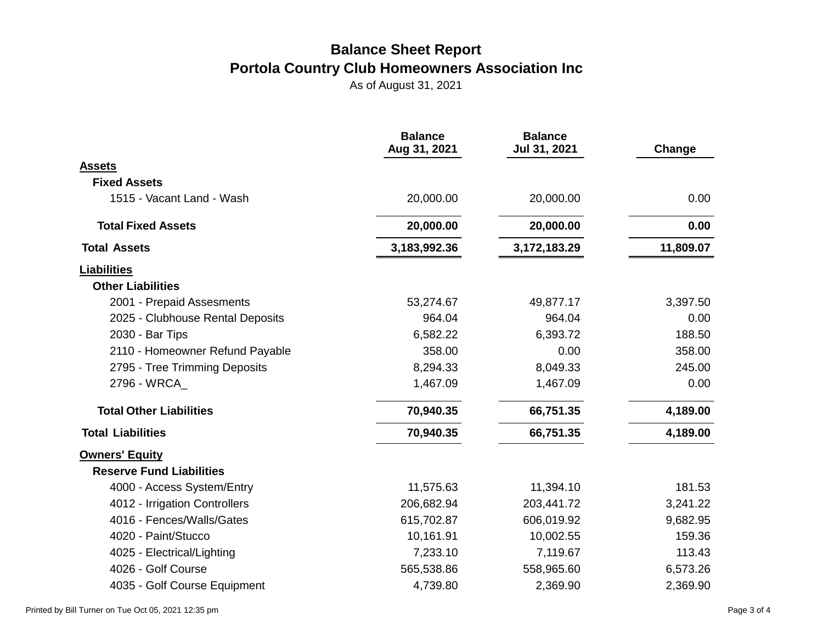|                                  | <b>Balance</b><br>Aug 31, 2021 | <b>Balance</b><br>Jul 31, 2021 | Change    |
|----------------------------------|--------------------------------|--------------------------------|-----------|
| <b>Assets</b>                    |                                |                                |           |
| <b>Fixed Assets</b>              |                                |                                |           |
| 1515 - Vacant Land - Wash        | 20,000.00                      | 20,000.00                      | 0.00      |
| <b>Total Fixed Assets</b>        | 20,000.00                      | 20,000.00                      | 0.00      |
| <b>Total Assets</b>              | 3,183,992.36                   | 3,172,183.29                   | 11,809.07 |
| <b>Liabilities</b>               |                                |                                |           |
| <b>Other Liabilities</b>         |                                |                                |           |
| 2001 - Prepaid Assesments        | 53,274.67                      | 49,877.17                      | 3,397.50  |
| 2025 - Clubhouse Rental Deposits | 964.04                         | 964.04                         | 0.00      |
| 2030 - Bar Tips                  | 6,582.22                       | 6,393.72                       | 188.50    |
| 2110 - Homeowner Refund Payable  | 358.00                         | 0.00                           | 358.00    |
| 2795 - Tree Trimming Deposits    | 8,294.33                       | 8,049.33                       | 245.00    |
| 2796 - WRCA                      | 1,467.09                       | 1,467.09                       | 0.00      |
| <b>Total Other Liabilities</b>   | 70,940.35                      | 66,751.35                      | 4,189.00  |
| <b>Total Liabilities</b>         | 70,940.35                      | 66,751.35                      | 4,189.00  |
| <b>Owners' Equity</b>            |                                |                                |           |
| <b>Reserve Fund Liabilities</b>  |                                |                                |           |
| 4000 - Access System/Entry       | 11,575.63                      | 11,394.10                      | 181.53    |
| 4012 - Irrigation Controllers    | 206,682.94                     | 203,441.72                     | 3,241.22  |
| 4016 - Fences/Walls/Gates        | 615,702.87                     | 606,019.92                     | 9,682.95  |
| 4020 - Paint/Stucco              | 10,161.91                      | 10,002.55                      | 159.36    |
| 4025 - Electrical/Lighting       | 7,233.10                       | 7,119.67                       | 113.43    |
| 4026 - Golf Course               | 565,538.86                     | 558,965.60                     | 6,573.26  |
| 4035 - Golf Course Equipment     | 4,739.80                       | 2,369.90                       | 2,369.90  |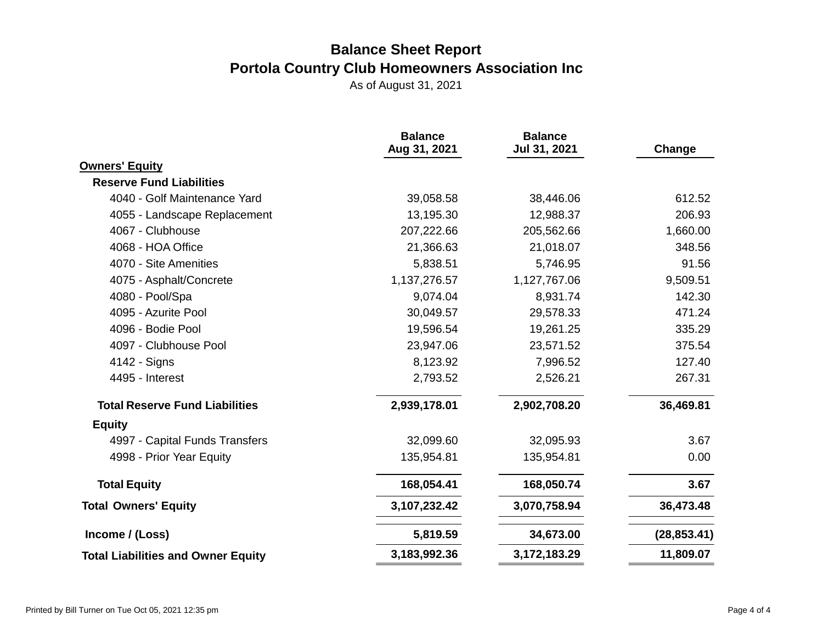|                                           | <b>Balance</b><br>Aug 31, 2021 | <b>Balance</b><br>Jul 31, 2021 | Change       |
|-------------------------------------------|--------------------------------|--------------------------------|--------------|
| <b>Owners' Equity</b>                     |                                |                                |              |
| <b>Reserve Fund Liabilities</b>           |                                |                                |              |
| 4040 - Golf Maintenance Yard              | 39,058.58                      | 38,446.06                      | 612.52       |
| 4055 - Landscape Replacement              | 13,195.30                      | 12,988.37                      | 206.93       |
| 4067 - Clubhouse                          | 207,222.66                     | 205,562.66                     | 1,660.00     |
| 4068 - HOA Office                         | 21,366.63                      | 21,018.07                      | 348.56       |
| 4070 - Site Amenities                     | 5,838.51                       | 5,746.95                       | 91.56        |
| 4075 - Asphalt/Concrete                   | 1,137,276.57                   | 1,127,767.06                   | 9,509.51     |
| 4080 - Pool/Spa                           | 9,074.04                       | 8,931.74                       | 142.30       |
| 4095 - Azurite Pool                       | 30,049.57                      | 29,578.33                      | 471.24       |
| 4096 - Bodie Pool                         | 19,596.54                      | 19,261.25                      | 335.29       |
| 4097 - Clubhouse Pool                     | 23,947.06                      | 23,571.52                      | 375.54       |
| 4142 - Signs                              | 8,123.92                       | 7,996.52                       | 127.40       |
| 4495 - Interest                           | 2,793.52                       | 2,526.21                       | 267.31       |
| <b>Total Reserve Fund Liabilities</b>     | 2,939,178.01                   | 2,902,708.20                   | 36,469.81    |
| <b>Equity</b>                             |                                |                                |              |
| 4997 - Capital Funds Transfers            | 32,099.60                      | 32,095.93                      | 3.67         |
| 4998 - Prior Year Equity                  | 135,954.81                     | 135,954.81                     | 0.00         |
| <b>Total Equity</b>                       | 168,054.41                     | 168,050.74                     | 3.67         |
| <b>Total Owners' Equity</b>               | 3, 107, 232. 42                | 3,070,758.94                   | 36,473.48    |
| Income / (Loss)                           | 5,819.59                       | 34,673.00                      | (28, 853.41) |
| <b>Total Liabilities and Owner Equity</b> | 3,183,992.36                   | 3,172,183.29                   | 11,809.07    |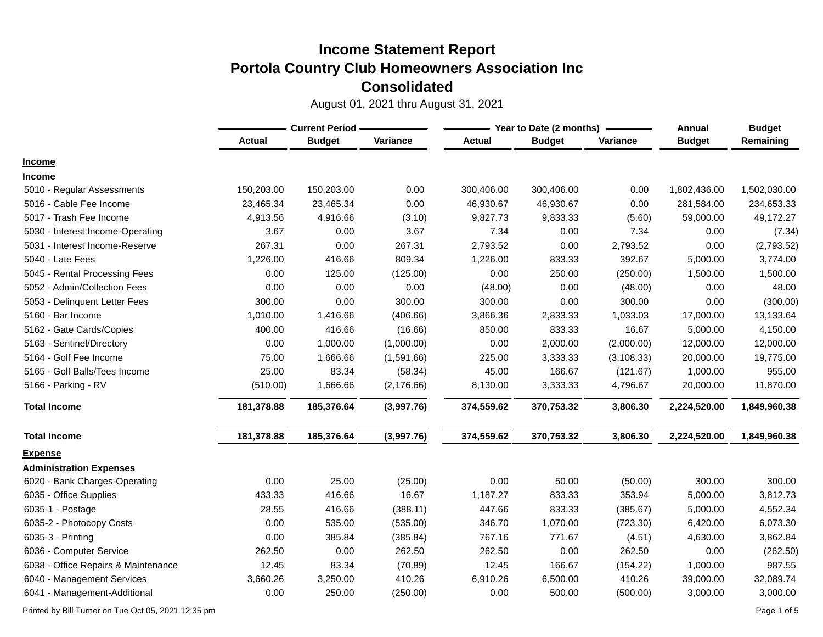August 01, 2021 thru August 31, 2021

|                                     | <b>Current Period -</b> |               |             | Year to Date (2 months) | Annual        | <b>Budget</b> |               |              |
|-------------------------------------|-------------------------|---------------|-------------|-------------------------|---------------|---------------|---------------|--------------|
|                                     | <b>Actual</b>           | <b>Budget</b> | Variance    | <b>Actual</b>           | <b>Budget</b> | Variance      | <b>Budget</b> | Remaining    |
| <b>Income</b>                       |                         |               |             |                         |               |               |               |              |
| <b>Income</b>                       |                         |               |             |                         |               |               |               |              |
| 5010 - Regular Assessments          | 150,203.00              | 150,203.00    | 0.00        | 300,406.00              | 300,406.00    | 0.00          | 1,802,436.00  | 1,502,030.00 |
| 5016 - Cable Fee Income             | 23,465.34               | 23,465.34     | 0.00        | 46,930.67               | 46,930.67     | 0.00          | 281,584.00    | 234,653.33   |
| 5017 - Trash Fee Income             | 4,913.56                | 4,916.66      | (3.10)      | 9,827.73                | 9,833.33      | (5.60)        | 59,000.00     | 49,172.27    |
| 5030 - Interest Income-Operating    | 3.67                    | 0.00          | 3.67        | 7.34                    | 0.00          | 7.34          | 0.00          | (7.34)       |
| 5031 - Interest Income-Reserve      | 267.31                  | 0.00          | 267.31      | 2,793.52                | 0.00          | 2,793.52      | 0.00          | (2,793.52)   |
| 5040 - Late Fees                    | 1,226.00                | 416.66        | 809.34      | 1,226.00                | 833.33        | 392.67        | 5,000.00      | 3,774.00     |
| 5045 - Rental Processing Fees       | 0.00                    | 125.00        | (125.00)    | 0.00                    | 250.00        | (250.00)      | 1,500.00      | 1,500.00     |
| 5052 - Admin/Collection Fees        | 0.00                    | 0.00          | 0.00        | (48.00)                 | 0.00          | (48.00)       | 0.00          | 48.00        |
| 5053 - Delinquent Letter Fees       | 300.00                  | 0.00          | 300.00      | 300.00                  | 0.00          | 300.00        | 0.00          | (300.00)     |
| 5160 - Bar Income                   | 1,010.00                | 1,416.66      | (406.66)    | 3,866.36                | 2,833.33      | 1,033.03      | 17,000.00     | 13,133.64    |
| 5162 - Gate Cards/Copies            | 400.00                  | 416.66        | (16.66)     | 850.00                  | 833.33        | 16.67         | 5,000.00      | 4,150.00     |
| 5163 - Sentinel/Directory           | 0.00                    | 1,000.00      | (1,000.00)  | 0.00                    | 2,000.00      | (2,000.00)    | 12,000.00     | 12,000.00    |
| 5164 - Golf Fee Income              | 75.00                   | 1,666.66      | (1,591.66)  | 225.00                  | 3,333.33      | (3, 108.33)   | 20,000.00     | 19,775.00    |
| 5165 - Golf Balls/Tees Income       | 25.00                   | 83.34         | (58.34)     | 45.00                   | 166.67        | (121.67)      | 1,000.00      | 955.00       |
| 5166 - Parking - RV                 | (510.00)                | 1,666.66      | (2, 176.66) | 8,130.00                | 3,333.33      | 4,796.67      | 20,000.00     | 11,870.00    |
| <b>Total Income</b>                 | 181,378.88              | 185,376.64    | (3,997.76)  | 374,559.62              | 370,753.32    | 3,806.30      | 2,224,520.00  | 1,849,960.38 |
| <b>Total Income</b>                 | 181,378.88              | 185,376.64    | (3,997.76)  | 374,559.62              | 370,753.32    | 3,806.30      | 2,224,520.00  | 1,849,960.38 |
| <b>Expense</b>                      |                         |               |             |                         |               |               |               |              |
| <b>Administration Expenses</b>      |                         |               |             |                         |               |               |               |              |
| 6020 - Bank Charges-Operating       | 0.00                    | 25.00         | (25.00)     | 0.00                    | 50.00         | (50.00)       | 300.00        | 300.00       |
| 6035 - Office Supplies              | 433.33                  | 416.66        | 16.67       | 1,187.27                | 833.33        | 353.94        | 5,000.00      | 3,812.73     |
| 6035-1 - Postage                    | 28.55                   | 416.66        | (388.11)    | 447.66                  | 833.33        | (385.67)      | 5,000.00      | 4,552.34     |
| 6035-2 - Photocopy Costs            | 0.00                    | 535.00        | (535.00)    | 346.70                  | 1,070.00      | (723.30)      | 6,420.00      | 6,073.30     |
| 6035-3 - Printing                   | 0.00                    | 385.84        | (385.84)    | 767.16                  | 771.67        | (4.51)        | 4,630.00      | 3,862.84     |
| 6036 - Computer Service             | 262.50                  | 0.00          | 262.50      | 262.50                  | 0.00          | 262.50        | 0.00          | (262.50)     |
| 6038 - Office Repairs & Maintenance | 12.45                   | 83.34         | (70.89)     | 12.45                   | 166.67        | (154.22)      | 1,000.00      | 987.55       |
| 6040 - Management Services          | 3,660.26                | 3,250.00      | 410.26      | 6,910.26                | 6,500.00      | 410.26        | 39,000.00     | 32,089.74    |
| 6041 - Management-Additional        | 0.00                    | 250.00        | (250.00)    | 0.00                    | 500.00        | (500.00)      | 3,000.00      | 3,000.00     |

Printed by Bill Turner on Tue Oct 05, 2021 12:35 pm Page 1 of 5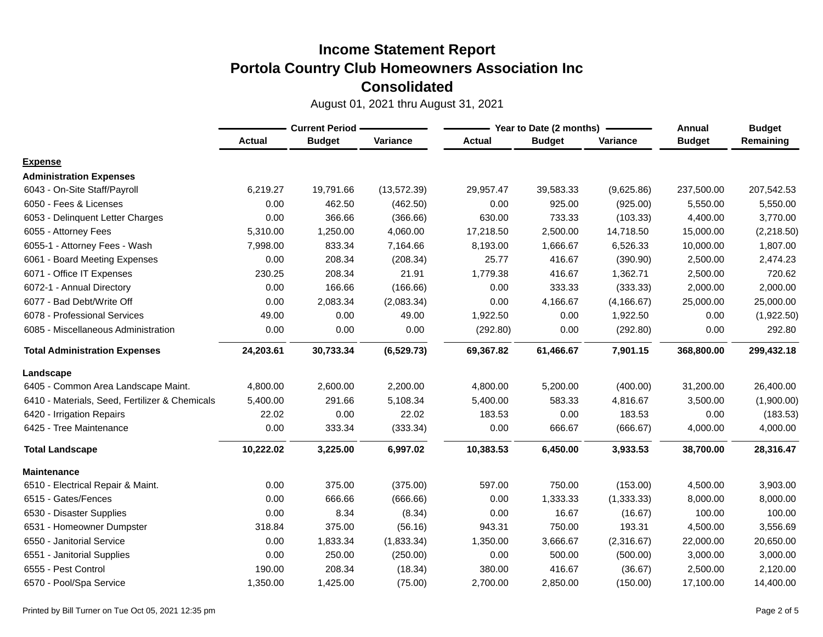|                                                | <b>Current Period -</b> |               |              |               | Year to Date (2 months) | <b>Annual</b> | <b>Budget</b> |            |
|------------------------------------------------|-------------------------|---------------|--------------|---------------|-------------------------|---------------|---------------|------------|
|                                                | <b>Actual</b>           | <b>Budget</b> | Variance     | <b>Actual</b> | <b>Budget</b>           | Variance      | <b>Budget</b> | Remaining  |
| <b>Expense</b>                                 |                         |               |              |               |                         |               |               |            |
| <b>Administration Expenses</b>                 |                         |               |              |               |                         |               |               |            |
| 6043 - On-Site Staff/Payroll                   | 6,219.27                | 19,791.66     | (13, 572.39) | 29,957.47     | 39,583.33               | (9,625.86)    | 237,500.00    | 207,542.53 |
| 6050 - Fees & Licenses                         | 0.00                    | 462.50        | (462.50)     | 0.00          | 925.00                  | (925.00)      | 5,550.00      | 5,550.00   |
| 6053 - Delinquent Letter Charges               | 0.00                    | 366.66        | (366.66)     | 630.00        | 733.33                  | (103.33)      | 4,400.00      | 3,770.00   |
| 6055 - Attorney Fees                           | 5,310.00                | 1,250.00      | 4,060.00     | 17,218.50     | 2,500.00                | 14,718.50     | 15,000.00     | (2,218.50) |
| 6055-1 - Attorney Fees - Wash                  | 7,998.00                | 833.34        | 7,164.66     | 8,193.00      | 1,666.67                | 6,526.33      | 10,000.00     | 1,807.00   |
| 6061 - Board Meeting Expenses                  | 0.00                    | 208.34        | (208.34)     | 25.77         | 416.67                  | (390.90)      | 2,500.00      | 2,474.23   |
| 6071 - Office IT Expenses                      | 230.25                  | 208.34        | 21.91        | 1,779.38      | 416.67                  | 1,362.71      | 2,500.00      | 720.62     |
| 6072-1 - Annual Directory                      | 0.00                    | 166.66        | (166.66)     | 0.00          | 333.33                  | (333.33)      | 2,000.00      | 2,000.00   |
| 6077 - Bad Debt/Write Off                      | 0.00                    | 2,083.34      | (2,083.34)   | 0.00          | 4,166.67                | (4, 166.67)   | 25,000.00     | 25,000.00  |
| 6078 - Professional Services                   | 49.00                   | 0.00          | 49.00        | 1,922.50      | 0.00                    | 1,922.50      | 0.00          | (1,922.50) |
| 6085 - Miscellaneous Administration            | 0.00                    | 0.00          | 0.00         | (292.80)      | 0.00                    | (292.80)      | 0.00          | 292.80     |
| <b>Total Administration Expenses</b>           | 24,203.61               | 30,733.34     | (6,529.73)   | 69,367.82     | 61,466.67               | 7,901.15      | 368,800.00    | 299,432.18 |
| Landscape                                      |                         |               |              |               |                         |               |               |            |
| 6405 - Common Area Landscape Maint.            | 4,800.00                | 2,600.00      | 2,200.00     | 4,800.00      | 5,200.00                | (400.00)      | 31,200.00     | 26,400.00  |
| 6410 - Materials, Seed, Fertilizer & Chemicals | 5,400.00                | 291.66        | 5,108.34     | 5,400.00      | 583.33                  | 4,816.67      | 3,500.00      | (1,900.00) |
| 6420 - Irrigation Repairs                      | 22.02                   | 0.00          | 22.02        | 183.53        | 0.00                    | 183.53        | 0.00          | (183.53)   |
| 6425 - Tree Maintenance                        | 0.00                    | 333.34        | (333.34)     | 0.00          | 666.67                  | (666.67)      | 4,000.00      | 4,000.00   |
| <b>Total Landscape</b>                         | 10,222.02               | 3,225.00      | 6,997.02     | 10,383.53     | 6,450.00                | 3,933.53      | 38,700.00     | 28,316.47  |
| <b>Maintenance</b>                             |                         |               |              |               |                         |               |               |            |
| 6510 - Electrical Repair & Maint.              | 0.00                    | 375.00        | (375.00)     | 597.00        | 750.00                  | (153.00)      | 4,500.00      | 3,903.00   |
| 6515 - Gates/Fences                            | 0.00                    | 666.66        | (666.66)     | 0.00          | 1,333.33                | (1, 333.33)   | 8,000.00      | 8,000.00   |
| 6530 - Disaster Supplies                       | 0.00                    | 8.34          | (8.34)       | 0.00          | 16.67                   | (16.67)       | 100.00        | 100.00     |
| - Homeowner Dumpster<br>6531                   | 318.84                  | 375.00        | (56.16)      | 943.31        | 750.00                  | 193.31        | 4,500.00      | 3,556.69   |
| 6550 - Janitorial Service                      | 0.00                    | 1,833.34      | (1,833.34)   | 1,350.00      | 3,666.67                | (2,316.67)    | 22,000.00     | 20,650.00  |
| 6551 - Janitorial Supplies                     | 0.00                    | 250.00        | (250.00)     | 0.00          | 500.00                  | (500.00)      | 3,000.00      | 3,000.00   |
| 6555 - Pest Control                            | 190.00                  | 208.34        | (18.34)      | 380.00        | 416.67                  | (36.67)       | 2,500.00      | 2,120.00   |
| 6570 - Pool/Spa Service                        | 1,350.00                | 1,425.00      | (75.00)      | 2,700.00      | 2,850.00                | (150.00)      | 17,100.00     | 14,400.00  |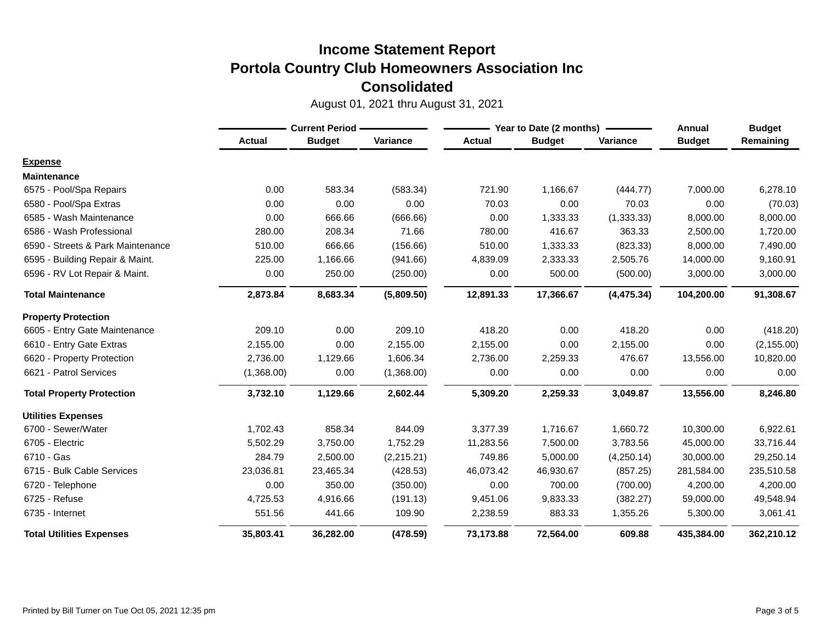|                                   | <b>Current Period -</b> |               |            | Year to Date (2 months) | <b>Annual</b> | <b>Budget</b> |               |             |
|-----------------------------------|-------------------------|---------------|------------|-------------------------|---------------|---------------|---------------|-------------|
|                                   | <b>Actual</b>           | <b>Budget</b> | Variance   | <b>Actual</b>           | <b>Budget</b> | Variance      | <b>Budget</b> | Remaining   |
| <b>Expense</b>                    |                         |               |            |                         |               |               |               |             |
| <b>Maintenance</b>                |                         |               |            |                         |               |               |               |             |
| 6575 - Pool/Spa Repairs           | 0.00                    | 583.34        | (583.34)   | 721.90                  | 1,166.67      | (444.77)      | 7,000.00      | 6,278.10    |
| 6580 - Pool/Spa Extras            | 0.00                    | 0.00          | 0.00       | 70.03                   | 0.00          | 70.03         | 0.00          | (70.03)     |
| 6585 - Wash Maintenance           | 0.00                    | 666.66        | (666.66)   | 0.00                    | 1,333.33      | (1, 333.33)   | 8,000.00      | 8,000.00    |
| 6586 - Wash Professional          | 280.00                  | 208.34        | 71.66      | 780.00                  | 416.67        | 363.33        | 2,500.00      | 1,720.00    |
| 6590 - Streets & Park Maintenance | 510.00                  | 666.66        | (156.66)   | 510.00                  | 1,333.33      | (823.33)      | 8,000.00      | 7,490.00    |
| 6595 - Building Repair & Maint.   | 225.00                  | 1,166.66      | (941.66)   | 4,839.09                | 2,333.33      | 2,505.76      | 14,000.00     | 9,160.91    |
| 6596 - RV Lot Repair & Maint.     | 0.00                    | 250.00        | (250.00)   | 0.00                    | 500.00        | (500.00)      | 3,000.00      | 3,000.00    |
| <b>Total Maintenance</b>          | 2,873.84                | 8,683.34      | (5,809.50) | 12,891.33               | 17,366.67     | (4, 475.34)   | 104,200.00    | 91,308.67   |
| <b>Property Protection</b>        |                         |               |            |                         |               |               |               |             |
| 6605 - Entry Gate Maintenance     | 209.10                  | 0.00          | 209.10     | 418.20                  | 0.00          | 418.20        | 0.00          | (418.20)    |
| 6610 - Entry Gate Extras          | 2,155.00                | 0.00          | 2,155.00   | 2,155.00                | 0.00          | 2,155.00      | 0.00          | (2, 155.00) |
| 6620 - Property Protection        | 2,736.00                | 1,129.66      | 1,606.34   | 2,736.00                | 2,259.33      | 476.67        | 13,556.00     | 10,820.00   |
| 6621 - Patrol Services            | (1,368.00)              | 0.00          | (1,368.00) | 0.00                    | 0.00          | 0.00          | 0.00          | 0.00        |
| <b>Total Property Protection</b>  | 3,732.10                | 1,129.66      | 2,602.44   | 5,309.20                | 2,259.33      | 3,049.87      | 13,556.00     | 8,246.80    |
| <b>Utilities Expenses</b>         |                         |               |            |                         |               |               |               |             |
| 6700 - Sewer/Water                | 1,702.43                | 858.34        | 844.09     | 3,377.39                | 1,716.67      | 1,660.72      | 10,300.00     | 6,922.61    |
| 6705 - Electric                   | 5,502.29                | 3,750.00      | 1,752.29   | 11,283.56               | 7,500.00      | 3,783.56      | 45,000.00     | 33,716.44   |
| 6710 - Gas                        | 284.79                  | 2,500.00      | (2,215.21) | 749.86                  | 5,000.00      | (4,250.14)    | 30,000.00     | 29,250.14   |
| 6715 - Bulk Cable Services        | 23,036.81               | 23,465.34     | (428.53)   | 46,073.42               | 46,930.67     | (857.25)      | 281,584.00    | 235,510.58  |
| 6720 - Telephone                  | 0.00                    | 350.00        | (350.00)   | 0.00                    | 700.00        | (700.00)      | 4,200.00      | 4,200.00    |
| 6725 - Refuse                     | 4,725.53                | 4,916.66      | (191.13)   | 9,451.06                | 9,833.33      | (382.27)      | 59,000.00     | 49,548.94   |
| 6735 - Internet                   | 551.56                  | 441.66        | 109.90     | 2,238.59                | 883.33        | 1,355.26      | 5,300.00      | 3,061.41    |
| <b>Total Utilities Expenses</b>   | 35,803.41               | 36,282.00     | (478.59)   | 73,173.88               | 72,564.00     | 609.88        | 435,384.00    | 362,210.12  |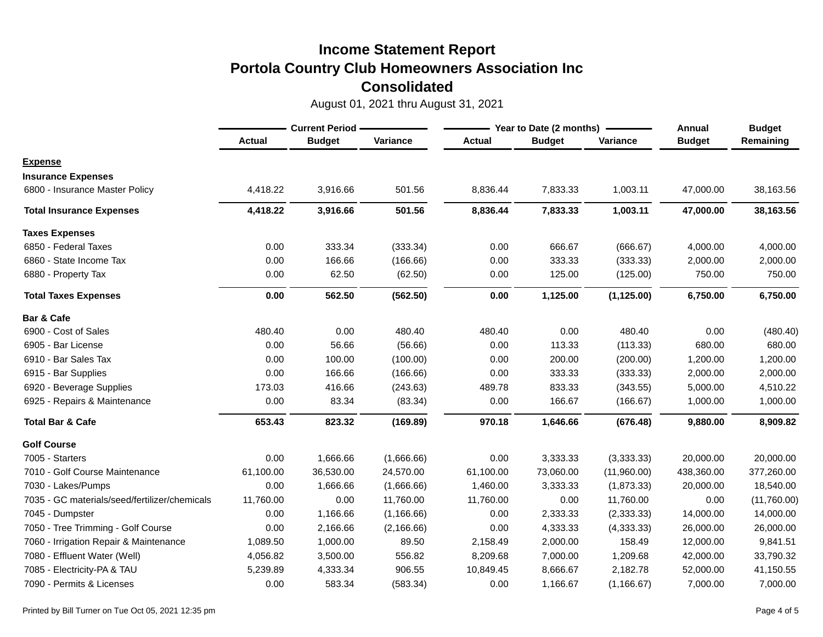|                                               | <b>Current Period -</b> |               | Year to Date (2 months) |               |               | Annual      | <b>Budget</b> |             |
|-----------------------------------------------|-------------------------|---------------|-------------------------|---------------|---------------|-------------|---------------|-------------|
|                                               | <b>Actual</b>           | <b>Budget</b> | Variance                | <b>Actual</b> | <b>Budget</b> | Variance    | <b>Budget</b> | Remaining   |
| <b>Expense</b>                                |                         |               |                         |               |               |             |               |             |
| <b>Insurance Expenses</b>                     |                         |               |                         |               |               |             |               |             |
| 6800 - Insurance Master Policy                | 4,418.22                | 3,916.66      | 501.56                  | 8,836.44      | 7,833.33      | 1,003.11    | 47,000.00     | 38,163.56   |
| <b>Total Insurance Expenses</b>               | 4,418.22                | 3,916.66      | 501.56                  | 8,836.44      | 7,833.33      | 1,003.11    | 47,000.00     | 38,163.56   |
| <b>Taxes Expenses</b>                         |                         |               |                         |               |               |             |               |             |
| 6850 - Federal Taxes                          | 0.00                    | 333.34        | (333.34)                | 0.00          | 666.67        | (666.67)    | 4,000.00      | 4,000.00    |
| 6860 - State Income Tax                       | 0.00                    | 166.66        | (166.66)                | 0.00          | 333.33        | (333.33)    | 2,000.00      | 2,000.00    |
| 6880 - Property Tax                           | 0.00                    | 62.50         | (62.50)                 | 0.00          | 125.00        | (125.00)    | 750.00        | 750.00      |
| <b>Total Taxes Expenses</b>                   | 0.00                    | 562.50        | (562.50)                | 0.00          | 1,125.00      | (1, 125.00) | 6,750.00      | 6,750.00    |
| <b>Bar &amp; Cafe</b>                         |                         |               |                         |               |               |             |               |             |
| 6900 - Cost of Sales                          | 480.40                  | 0.00          | 480.40                  | 480.40        | 0.00          | 480.40      | 0.00          | (480.40)    |
| 6905 - Bar License                            | 0.00                    | 56.66         | (56.66)                 | 0.00          | 113.33        | (113.33)    | 680.00        | 680.00      |
| 6910 - Bar Sales Tax                          | 0.00                    | 100.00        | (100.00)                | 0.00          | 200.00        | (200.00)    | 1,200.00      | 1,200.00    |
| 6915 - Bar Supplies                           | 0.00                    | 166.66        | (166.66)                | 0.00          | 333.33        | (333.33)    | 2,000.00      | 2,000.00    |
| 6920 - Beverage Supplies                      | 173.03                  | 416.66        | (243.63)                | 489.78        | 833.33        | (343.55)    | 5,000.00      | 4,510.22    |
| 6925 - Repairs & Maintenance                  | 0.00                    | 83.34         | (83.34)                 | 0.00          | 166.67        | (166.67)    | 1,000.00      | 1,000.00    |
| <b>Total Bar &amp; Cafe</b>                   | 653.43                  | 823.32        | (169.89)                | 970.18        | 1,646.66      | (676.48)    | 9,880.00      | 8,909.82    |
| <b>Golf Course</b>                            |                         |               |                         |               |               |             |               |             |
| 7005 - Starters                               | 0.00                    | 1,666.66      | (1,666.66)              | 0.00          | 3,333.33      | (3,333.33)  | 20,000.00     | 20,000.00   |
| 7010 - Golf Course Maintenance                | 61,100.00               | 36,530.00     | 24,570.00               | 61,100.00     | 73,060.00     | (11,960.00) | 438,360.00    | 377,260.00  |
| 7030 - Lakes/Pumps                            | 0.00                    | 1,666.66      | (1,666.66)              | 1,460.00      | 3,333.33      | (1,873.33)  | 20,000.00     | 18,540.00   |
| 7035 - GC materials/seed/fertilizer/chemicals | 11,760.00               | 0.00          | 11,760.00               | 11,760.00     | 0.00          | 11,760.00   | 0.00          | (11,760.00) |
| 7045 - Dumpster                               | 0.00                    | 1,166.66      | (1, 166.66)             | 0.00          | 2,333.33      | (2,333.33)  | 14,000.00     | 14,000.00   |
| 7050 - Tree Trimming - Golf Course            | 0.00                    | 2,166.66      | (2, 166.66)             | 0.00          | 4,333.33      | (4, 333.33) | 26,000.00     | 26,000.00   |
| 7060 - Irrigation Repair & Maintenance        | 1,089.50                | 1,000.00      | 89.50                   | 2,158.49      | 2,000.00      | 158.49      | 12,000.00     | 9,841.51    |
| 7080 - Effluent Water (Well)                  | 4,056.82                | 3,500.00      | 556.82                  | 8,209.68      | 7,000.00      | 1,209.68    | 42,000.00     | 33,790.32   |
| 7085 - Electricity-PA & TAU                   | 5,239.89                | 4,333.34      | 906.55                  | 10,849.45     | 8,666.67      | 2,182.78    | 52,000.00     | 41,150.55   |
| 7090 - Permits & Licenses                     | 0.00                    | 583.34        | (583.34)                | 0.00          | 1,166.67      | (1, 166.67) | 7,000.00      | 7,000.00    |